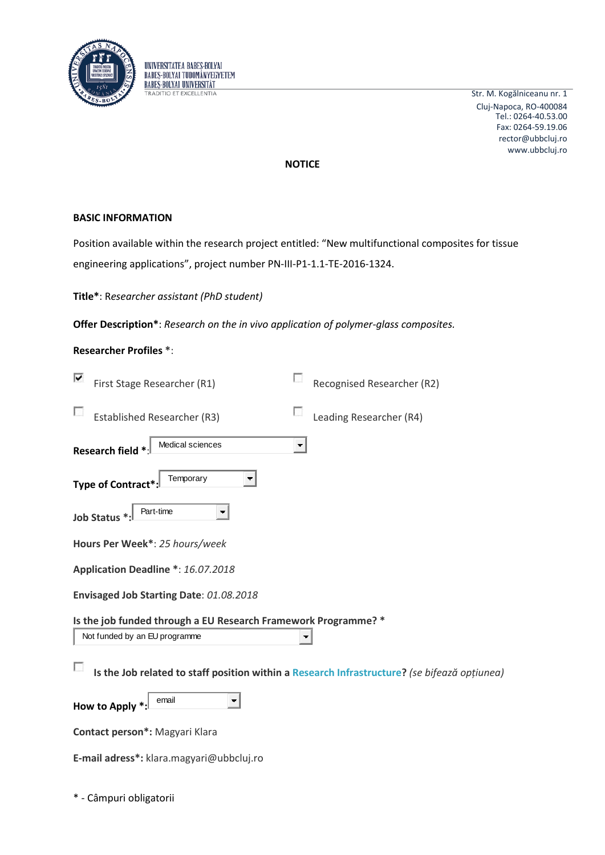



Str. M. Kogălniceanu nr. 1 Cluj-Napoca, RO-400084 rector@ubbcluj.ro www.ubbcluj.ro Tel.: 0264-40.53.00 Fax: 0264-59.19.06

# **NOTICE**

# **BASIC INFORMATION**

Position available within the research project entitled: "New multifunctional composites for tissue engineering applications", project number PN-III-P1-1.1-TE-2016-1324.

# **Title\***: R*esearcher assistant (PhD student)*

**Offer Description\***: *Research on the in vivo application of polymer-glass composites.*

# **Researcher Profiles \***:

| ⊽<br>First Stage Researcher (R1)                                                             | Recognised Researcher (R2) |  |  |
|----------------------------------------------------------------------------------------------|----------------------------|--|--|
| <b>Established Researcher (R3)</b>                                                           | Leading Researcher (R4)    |  |  |
| Medical sciences<br>Research field *                                                         |                            |  |  |
| Temporary<br><b>Type of Contract</b>                                                         |                            |  |  |
| Part-time<br>▼<br>Job Status *                                                               |                            |  |  |
| Hours Per Week*: 25 hours/week                                                               |                            |  |  |
| Application Deadline *: 16.07.2018                                                           |                            |  |  |
| Envisaged Job Starting Date: 01.08.2018                                                      |                            |  |  |
| Is the job funded through a EU Research Framework Programme? *                               |                            |  |  |
| Not funded by an EU programme                                                                | ▼                          |  |  |
| Is the Job related to staff position within a Research Infrastructure? (se bifează opțiunea) |                            |  |  |
| email<br><b>How to Apply</b>                                                                 |                            |  |  |
| Contact person*: Magyari Klara                                                               |                            |  |  |

**E-mail adress\*:** klara.magyari@ubbcluj.ro

\* - Câmpuri obligatorii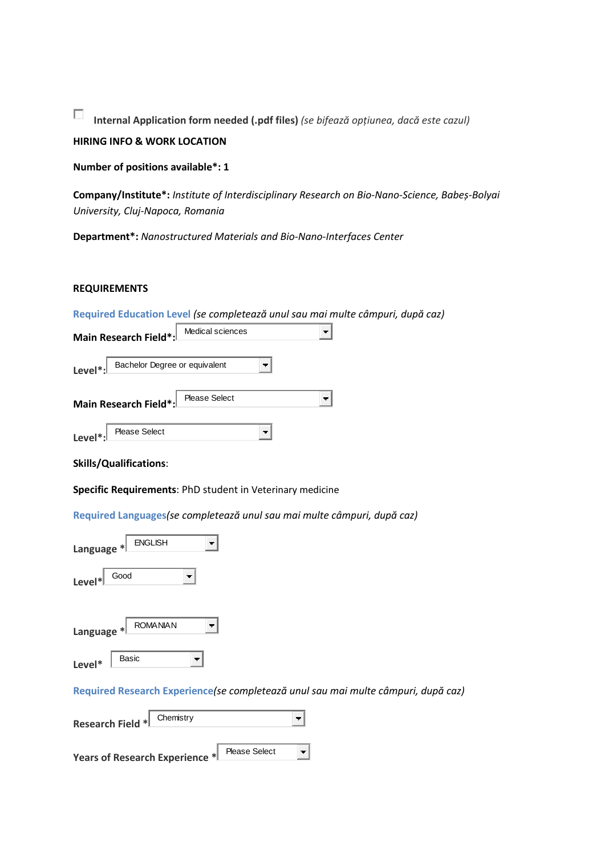$\overline{\mathcal{L}}$ **Internal Application form needed (.pdf files)** *(se bifează opțiunea, dacă este cazul)*

# **HIRING INFO & WORK LOCATION**

**Number of positions available\*: 1**

**Company/Institute\*:** *Institute of Interdisciplinary Research on Bio-Nano-Science, Babeș-Bolyai University, Cluj-Napoca, Romania*

**Department\*:** *Nanostructured Materials and Bio-Nano-Interfaces Center*

## **REQUIREMENTS**

| Required Education Level (se completează unul sau mai multe câmpuri, după caz)    |
|-----------------------------------------------------------------------------------|
| Medical sciences<br>Main Research Field*                                          |
| Bachelor Degree or equivalent<br>Level*:                                          |
| <b>Please Select</b><br>Main Research Field*                                      |
| Please Select<br>Level*                                                           |
| <b>Skills/Qualifications:</b>                                                     |
| Specific Requirements: PhD student in Veterinary medicine                         |
| Required Languages (se completează unul sau mai multe câmpuri, după caz)          |
| <b>ENGLISH</b><br>Language *                                                      |
| Good<br>Level*                                                                    |
|                                                                                   |
| <b>ROMANIAN</b><br>Language *                                                     |
| Basic<br>Level*                                                                   |
| Required Research Experience(se completează unul sau mai multe câmpuri, după caz) |
| Chemistry<br><b>Research Field *</b>                                              |
| <b>Please Select</b><br>Ŧ<br>Years of Research Experience *                       |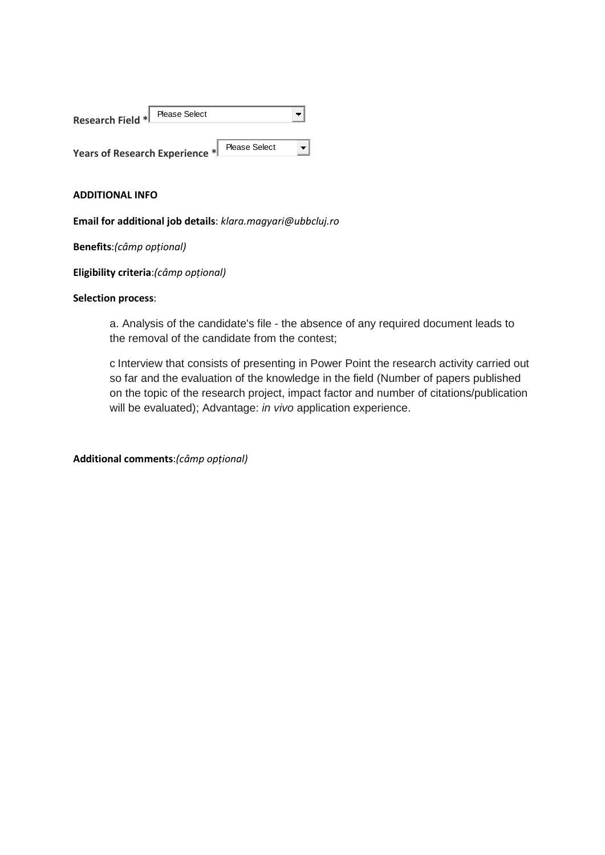| <b>Research Field *I</b>       | Please Select |                      |  |
|--------------------------------|---------------|----------------------|--|
| Years of Research Experience * |               | <b>Please Select</b> |  |

## **ADDITIONAL INFO**

**Email for additional job details**: *klara.magyari@ubbcluj.ro*

**Benefits**:*(câmp opțional)*

**Eligibility criteria**:*(câmp opțional)*

## **Selection process**:

a. Analysis of the candidate's file - the absence of any required document leads to the removal of the candidate from the contest;

c Interview that consists of presenting in Power Point the research activity carried out so far and the evaluation of the knowledge in the field (Number of papers published on the topic of the research project, impact factor and number of citations/publication will be evaluated); Advantage: *in vivo* application experience.

**Additional comments**:*(câmp opțional)*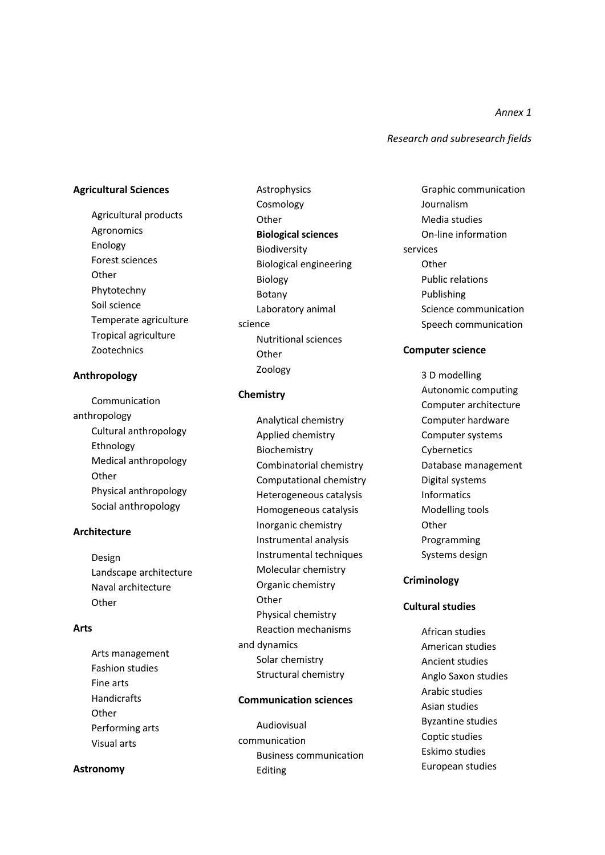*Research and subresearch fields*

*Annex 1*

## **Agricultural Sciences**

Agricultural products Agronomics Enology Forest sciences **Other** Phytotechny Soil science Temperate agriculture Tropical agriculture Zootechnics

### **Anthropology**

Communication anthropology Cultural anthropology Ethnology Medical anthropology **Other** Physical anthropology Social anthropology

### **Architecture**

Design Landscape architecture Naval architecture **Other** 

## **Arts**

Arts management Fashion studies Fine arts Handicrafts **Other** Performing arts Visual arts

### **Astronomy**

Astrophysics Cosmology **Other Biological sciences** Biodiversity Biological engineering Biology Botany Laboratory animal science Nutritional sciences **Other** Zoology

## **Chemistry**

Analytical chemistry Applied chemistry Biochemistry Combinatorial chemistry Computational chemistry Heterogeneous catalysis Homogeneous catalysis Inorganic chemistry Instrumental analysis Instrumental techniques Molecular chemistry Organic chemistry **Other** Physical chemistry Reaction mechanisms and dynamics Solar chemistry Structural chemistry

## **Communication sciences**

Audiovisual communication Business communication Editing

Graphic communication Journalism Media studies On-line information services **Other** Public relations Publishing Science communication Speech communication

### **Computer science**

3 D modelling Autonomic computing Computer architecture Computer hardware Computer systems Cybernetics Database management Digital systems Informatics Modelling tools **Other** Programming Systems design

### **Criminology**

## **Cultural studies**

African studies American studies Ancient studies Anglo Saxon studies Arabic studies Asian studies Byzantine studies Coptic studies Eskimo studies European studies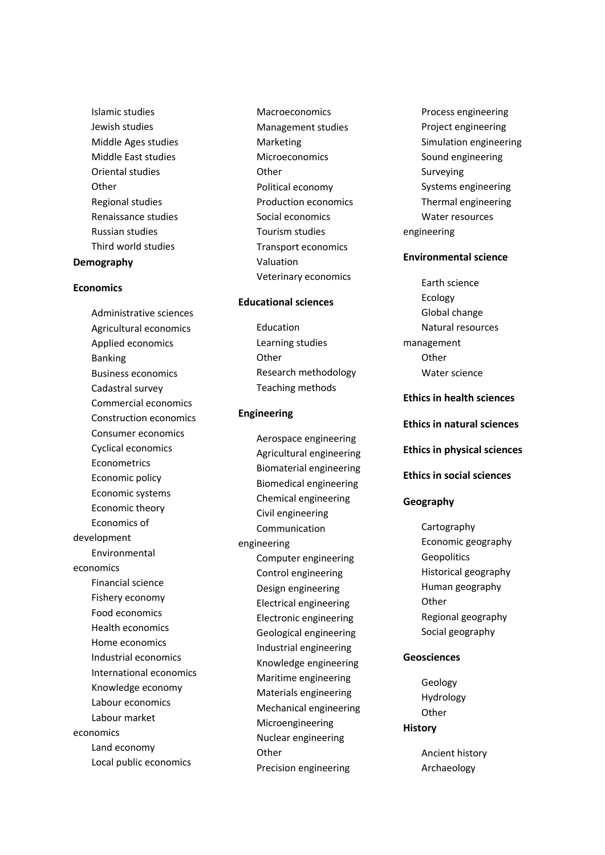Islamic studies Jewish studies Middle Ages studies Middle East studies Oriental studies **Other** Regional studies Renaissance studies Russian studies Third world studies **Demography**

### **Economics**

Administrative sciences Agricultural economics Applied economics Banking Business economics Cadastral survey Commercial economics Construction economics Consumer economics Cyclical economics Econometrics Economic policy Economic systems Economic theory Economics of development Environmental economics Financial science Fishery economy Food economics Health economics Home economics Industrial economics International economics Knowledge economy Labour economics Labour market economics Land economy Local public economics

Macroeconomics Management studies Marketing **Microeconomics Other** Political economy Production economics Social economics Tourism studies Transport economics Valuation Veterinary economics

### **Educational sciences**

Education Learning studies **Other** Research methodology Teaching methods

#### **Engineering**

Aerospace engineering Agricultural engineering Biomaterial engineering Biomedical engineering Chemical engineering Civil engineering Communication engineering Computer engineering Control engineering Design engineering Electrical engineering Electronic engineering Geological engineering Industrial engineering Knowledge engineering Maritime engineering Materials engineering Mechanical engineering Microengineering Nuclear engineering **Other** Precision engineering

Process engineering Project engineering Simulation engineering Sound engineering Surveying Systems engineering Thermal engineering Water resources engineering

### **Environmental science**

Earth science Ecology Global change Natural resources management **Other** Water science

## **Ethics in health sciences**

#### **Ethics in natural sciences**

## **Ethics in physical sciences**

## **Ethics in social sciences**

#### **Geography**

Cartography Economic geography **Geopolitics** Historical geography Human geography **Other** Regional geography Social geography

### **Geosciences**

Geology Hydrology **Other History**

> Ancient history Archaeology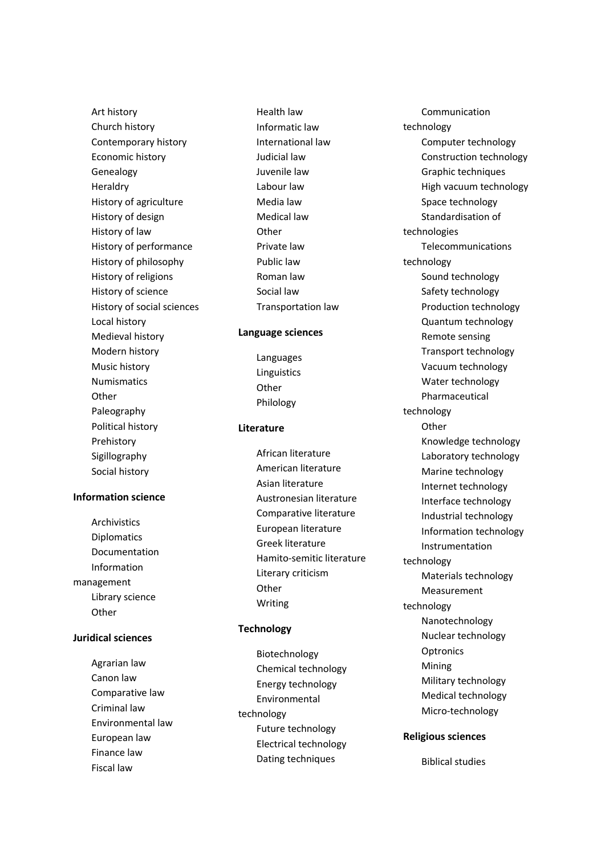Art history Church history Contemporary history Economic history Genealogy Heraldry History of agriculture History of design History of law History of performance History of philosophy History of religions History of science History of social sciences Local history Medieval history Modern history Music history Numismatics **Other** Paleography Political history Prehistory Sigillography Social history

## **Information science**

Archivistics Diplomatics Documentation Information management Library science **Other** 

## **Juridical sciences**

Agrarian law Canon law Comparative law Criminal law Environmental law European law Finance law Fiscal law

Health law Informatic law International law Judicial law Juvenile law Labour law Media law Medical law **Other** Private law Public law Roman law Social law Transportation law

### **Language sciences**

Languages Linguistics **Other** Philology

## **Literature**

African literature American literature Asian literature Austronesian literature Comparative literature European literature Greek literature Hamito-semitic literature Literary criticism **Other** Writing

## **Technology**

Biotechnology Chemical technology Energy technology Environmental technology Future technology Electrical technology Dating techniques

Communication technology Computer technology Construction technology Graphic techniques High vacuum technology Space technology Standardisation of technologies Telecommunications technology Sound technology Safety technology Production technology Quantum technology Remote sensing Transport technology Vacuum technology Water technology Pharmaceutical technology **Other** Knowledge technology Laboratory technology Marine technology Internet technology Interface technology Industrial technology Information technology Instrumentation technology Materials technology Measurement technology Nanotechnology Nuclear technology **Optronics** Mining Military technology Medical technology Micro-technology

# **Religious sciences**

Biblical studies